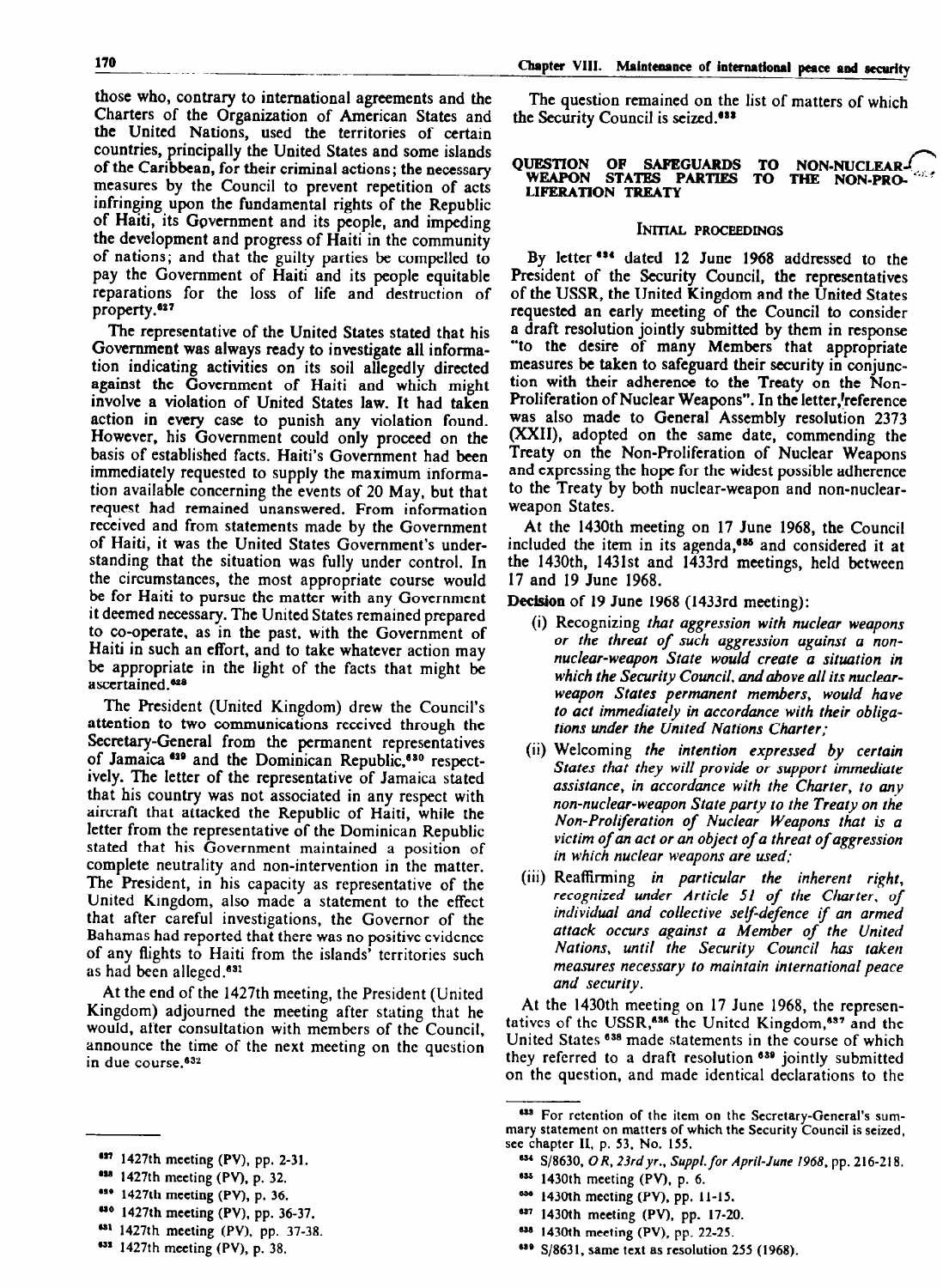those who, contrary to international agreements and the Charters of the Organization of American States and the United Nations, used the territories of certain countries, principally the United States and some islands of the Caribbean, for their criminal actions; the necessary measures by the Council to prevent repetition of acts infringing upon the fundamental rights of the Republic of Haiti, its Government and its people, and impeding the development and progress of Haiti in the community of nations; and that the guilty parties be compelled to pay the Government of Haiti and its people equitable reparations for the loss of life and destruction of property.<sup>627</sup>

The representative of the United States stated that his Government was always ready to investigate all information indicating activities on its soil allegedly directed against the Government of Haiti and which might involve a violation of United States law. It had taken action in every case to punish any violation found. However, his Government could only proceed on the basis of established facts. Haiti's Government had been immediately requested to supply the maximum information available concerning the events of 20 May, but that ron avanable concerning the events of 20 may, but the request mad remained unanswered, From miorination of Haiti, it was the United States Government's underof Haiti, it was the United States Government's under-<br>standing that the situation was fully under control. In  $t_{\text{tot}}$  and the situation was fully under control. In  $\mu$  chainstances, the most appropriate course would be for Haiti to pursue the matter with any Government it deemed necessary. The United States remained prepared to co-operate, as in the past, with the Government of Haiti in such an effort, and to take whatever action may be appropriate in the light of the facts that might be ascertained.<sup>628</sup> The President (United Kingdom) drew the Council of Council<br>The Council of Council of Council of Council of Council of Council of Council of Council of Council of Council

 $\frac{1}{2}$  are president (United Kingdom) drew the Council's attention to two communications received through the Secretary-General from the permanent representatives of Jamaica 629 and the Dominican Republic,<sup>630</sup> respectively. The letter of the representative of Jamaica stated that his country was not associated in any respect with aircraft that attacked the Republic of Haiti, while the letter from the representative of the Dominican Republic stated that his Government maintained a position of complete neutrality and non-intervention in the matter. The President, in his capacity as representative of the United Kingdom, also made a statement to the effect that after careful investigations, the Governor of the Bahamas had reported that there was no positive evidence of any flights to Haiti from the islands' territories such as had been alleged.<sup>631</sup>

At the end of the 1427th meeting, the President (United Kingdom) adjourned the meeting after stating that he would, after consultation with members of the Council, announce the time of the next meeting on the question in due course.<sup>632</sup>

- $1427th$  meeting (PV), p. 36.
- 430 1427th meeting (PV), pp. 36-37.
- 431 1427th meeting (PV), pp. 37-38.
- 432 1427th meeting (PV), p. 38.

The question remained on the list of matters of which the Security Council is seized.<sup>033</sup>

### **OUESTION OF SAFEGUARDS TO NON-NUCLEAR** WEAPON STATES PARTIES TO THE NON-PRO-LIFERATlON TREATY

# INITIAL PROCEEDINGS

By letter \*\*\* dated 12 June 1968 addressed to the President of the Security Council, the representatives of the USSR, the United Kingdom and the United States requested an early meeting of the Council to consider a draft resolution jointly submitted by them in response "to the desire of many Members that appropriate measures be taken to safeguard their security in conjunction with their adherence to the Treaty on the Non-Proliferation of Nuclear Weapons". In the letter, reference was also made to General Assembly resolution 2373 (XXII), adopted on the same date, commending the Treaty on the Non-Proliferation of Nuclear Weapons Treaty on the Non-Proliferation of Nuclear Weapons and expressing the hope for the widest possible adherence to the Treaty by both nuclear-weapon and non-nuclear-<br>weapon States.

At the 1430th meeting on 17 June 1968, the  $C_{\text{max}}$  $\overline{a}$  include the internal on  $\overline{a}$  and  $\overline{a}$  and  $\overline{a}$ included the item in its agenda.<sup>635</sup> and considered it at the 1430th, 1431st and 1433rd meetings, held between<br>17 and 19 June 1968. 17 and 19 June 1968 (1433rd meeting)<br>Decision of 1968 (1433rd meeting)

 $\omega$  is the recognizing that aggression with nuclear weapons  $\omega$ 

- $(i)$  Recognizing that aggression with nuclear weapons or the threat of such aggression against a nonnuclear-weapon State would create a situation in which the Security Council, and above all its nuclearweapon States permanent members, would have to act immediately in accordance with their obligations under the United Nations Charter;
- $(ii)$  Welcoming the intention expressed by certain States that they will provide or support immediate assistance, in accordance with the Charter, to any non-nuclear-weapon State party to the Treaty on the Non-Proliferation of Nuclear Weapons that is a victim of an act or an object of a threat of aggression in which nuclear weapons are used;
- $(iii)$  Reaffirming in particular the inherent right, recognized under Article 51 of the Charter, of individual and collective self-defence if an armed attack occurs against a Member of the United Nations, until the Security Council has taken measures necessary to maintain international peace and security.

At the 1430th meeting on 17 June 1968, the representatives of the USSR,<sup>636</sup> the United Kingdom,<sup>637</sup> and the United States <sup>638</sup> made statements in the course of which they referred to a draft resolution <sup>639</sup> jointly submitted on the question, and made identical declarations to the

- <sup>636</sup> 1430th meeting (PV), pp. 11-15.
- 
- <sup>637</sup> 1430th meeting (PV), pp. 17-20.
- <sup>638</sup> 1430th meeting (PV), pp. 22-25.

am 1427th meeting (PV), pp. 2-31. pp. 2-31. pp. 2-31. pp. 2-31. pp. 2-31. pp. 2-31. pp. 2-31. pp. 2-31. pp. 2-417 1427th meeting (PV), pp. 2-31.

 $1427th$  meeting (PV), p. 32.

marv statement of which the Security Council is seen as the Security Council is seen as the Security Council is seen as the Security Council is seen as the Security Council is seen as the Security Council is seen as the Se  $\sim$  For retention of the lien mary statement on matters of which the Security Council is seized, see chapter II, p. 53, No. 155.

<sup>834</sup> S/8630, OR, 23rd yr., Suppl. for April-June 1968, pp. 216-218. <sup>635</sup> 1430th meeting (PV), p. 6.

<sup>639</sup> S/8631, same text as resolution 255 (1968).